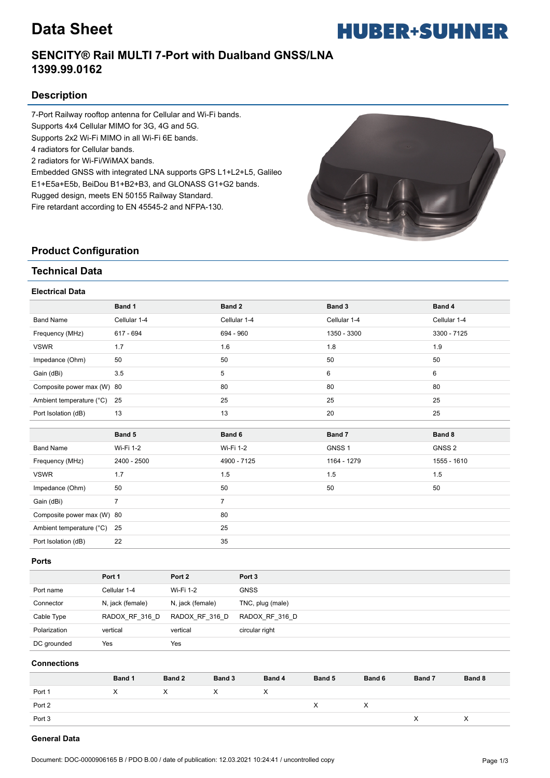# **Data Sheet**



## **SENCITY® Rail MULTI 7-Port with Dualband GNSS/LNA 1399.99.0162**

### **Description**

7-Port Railway rooftop antenna for Cellular and Wi-Fi bands. Supports 4x4 Cellular MIMO for 3G, 4G and 5G. Supports 2x2 Wi-Fi MIMO in all Wi-Fi 6E bands. 4 radiators for Cellular bands. 2 radiators for Wi-Fi/WiMAX bands. Embedded GNSS with integrated LNA supports GPS L1+L2+L5, Galileo E1+E5a+E5b, BeiDou B1+B2+B3, and GLONASS G1+G2 bands. Rugged design, meets EN 50155 Railway Standard.

Fire retardant according to EN 45545-2 and NFPA-130.



### **Product Configuration**

### **Technical Data**

#### **Electrical Data**

|                            | Band 1         | Band 2         | Band 3            | Band 4            |
|----------------------------|----------------|----------------|-------------------|-------------------|
| <b>Band Name</b>           | Cellular 1-4   | Cellular 1-4   | Cellular 1-4      | Cellular 1-4      |
| Frequency (MHz)            | 617 - 694      | 694 - 960      | 1350 - 3300       | 3300 - 7125       |
| <b>VSWR</b>                | 1.7            | 1.6            | 1.8               | 1.9               |
| Impedance (Ohm)            | 50             | 50             | 50                | 50                |
| Gain (dBi)                 | 3.5            | 5              | 6                 | 6                 |
| Composite power max (W) 80 |                | 80             | 80                | 80                |
| Ambient temperature (°C)   | 25             | 25             | 25                | 25                |
| Port Isolation (dB)        | 13             | 13             | 20                | 25                |
|                            |                |                |                   |                   |
|                            |                |                |                   |                   |
|                            | Band 5         | Band 6         | Band 7            | Band 8            |
| <b>Band Name</b>           | Wi-Fi 1-2      | Wi-Fi 1-2      | GNSS <sub>1</sub> | GNSS <sub>2</sub> |
| Frequency (MHz)            | 2400 - 2500    | 4900 - 7125    | 1164 - 1279       | 1555 - 1610       |
| <b>VSWR</b>                | 1.7            | 1.5            | 1.5               | 1.5               |
| Impedance (Ohm)            | 50             | 50             | 50                | 50                |
| Gain (dBi)                 | $\overline{7}$ | $\overline{7}$ |                   |                   |
| Composite power max (W) 80 |                | 80             |                   |                   |
| Ambient temperature (°C)   | 25             | 25             |                   |                   |

#### **Ports**

|              | Port 1           | Port 2           | Port <sub>3</sub> |
|--------------|------------------|------------------|-------------------|
| Port name    | Cellular 1-4     | Wi-Fi 1-2        | <b>GNSS</b>       |
| Connector    | N, jack (female) | N, jack (female) | TNC, plug (male)  |
| Cable Type   | RADOX RF 316 D   | RADOX RF 316 D   | RADOX RF 316 D    |
| Polarization | vertical         | vertical         | circular right    |
| DC grounded  | Yes              | Yes              |                   |

#### **Connections**

|        | Band 1 | Band 2 | Band 3 | Band 4 | Band 5 | Band 6         | Band 7 | Band 8 |
|--------|--------|--------|--------|--------|--------|----------------|--------|--------|
| Port 1 | X      | X      |        | ⋏      |        |                |        |        |
| Port 2 |        |        |        |        | х      | $\lambda$<br>v |        |        |
| Port 3 |        |        |        |        |        |                |        | ⋏      |

#### **General Data**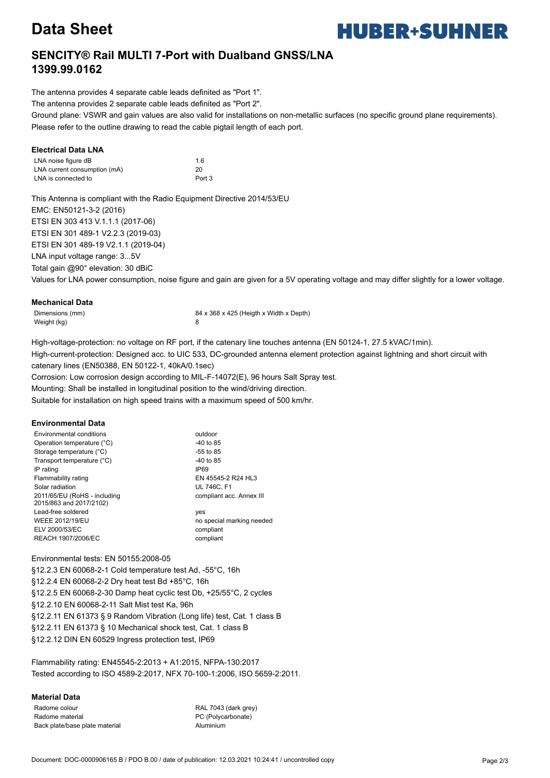# **Data Sheet**



## **SENCITY® Rail MULTI 7-Port with Dualband GNSS/LNA 1399.99.0162**

The antenna provides 4 separate cable leads definited as "Port 1".

The antenna provides 2 separate cable leads definited as "Port 2".

Ground plane: VSWR and gain values are also valid for installations on non-metallic surfaces (no specific ground plane requirements). Please refer to the outline drawing to read the cable pigtail length of each port.

#### **Electrical Data LNA**

| LNA noise figure dB          | 1.6               |
|------------------------------|-------------------|
| LNA current consumption (mA) | 20                |
| LNA is connected to          | Port <sub>3</sub> |

This Antenna is compliant with the Radio Equipment Directive 2014/53/EU EMC: EN50121-3-2 (2016) ETSI EN 303 413 V.1.1.1 (2017-06) ETSI EN 301 489-1 V2.2.3 (2019-03) ETSI EN 301 489-19 V2.1.1 (2019-04) LNA input voltage range: 3...5V Total gain @90° elevation: 30 dBiC

Values for LNA power consumption, noise figure and gain are given for a 5V operating voltage and may differ slightly for a lower voltage.

#### **Mechanical Data**

Weight (kg) 8

Dimensions (mm) 84 x 368 x 425 (Heigth x Width x Depth)

High-voltage-protection: no voltage on RF port, if the catenary line touches antenna (EN 50124-1, 27.5 kVAC/1min). High-current-protection: Designed acc. to UIC 533, DC-grounded antenna element protection against lightning and short circuit with catenary lines (EN50388, EN 50122-1, 40kA/0.1sec)

Corrosion: Low corrosion design according to MIL-F-14072(E), 96 hours Salt Spray test.

Mounting: Shall be installed in longitudinal position to the wind/driving direction.

Suitable for installation on high speed trains with a maximum speed of 500 km/hr.

#### **Environmental Data**

| Environmental conditions                                | outdoor                   |
|---------------------------------------------------------|---------------------------|
| Operation temperature (°C)                              | -40 to 85                 |
| Storage temperature (°C)                                | $-55$ to 85               |
| Transport temperature (°C)                              | -40 to 85                 |
| IP rating                                               | IP <sub>69</sub>          |
| Flammability rating                                     | EN 45545-2 R24 HL3        |
| Solar radiation                                         | <b>UL 746C. F1</b>        |
| 2011/65/EU (RoHS - including<br>2015/863 and 2017/2102) | compliant acc. Annex III  |
| Lead-free soldered                                      | yes                       |
| <b>WEEE 2012/19/EU</b>                                  | no special marking needed |
| ELV 2000/53/EC                                          | compliant                 |
| REACH 1907/2006/EC                                      | compliant                 |

#### Environmental tests: EN 50155:2008-05

§12.2.3 EN 60068-2-1 Cold temperature test Ad, -55°C, 16h §12.2.4 EN 60068-2-2 Dry heat test Bd +85°C, 16h §12.2.5 EN 60068-2-30 Damp heat cyclic test Db, +25/55°C, 2 cycles §12.2.10 EN 60068-2-11 Salt Mist test Ka, 96h §12.2.11 EN 61373 § 9 Random Vibration (Long life) test, Cat. 1 class B §12.2.11 EN 61373 § 10 Mechanical shock test, Cat. 1 class B §12.2.12 DIN EN 60529 Ingress protection test, IP69

Flammability rating: EN45545-2:2013 + A1:2015, NFPA-130:2017 Tested according to ISO 4589-2:2017, NFX 70-100-1:2006, ISO 5659-2:2011.

#### **Material Data**

Radome colour RAL 7043 (dark grey) Radome material PC (Polycarbonate) Back plate/base plate material example and the Aluminium